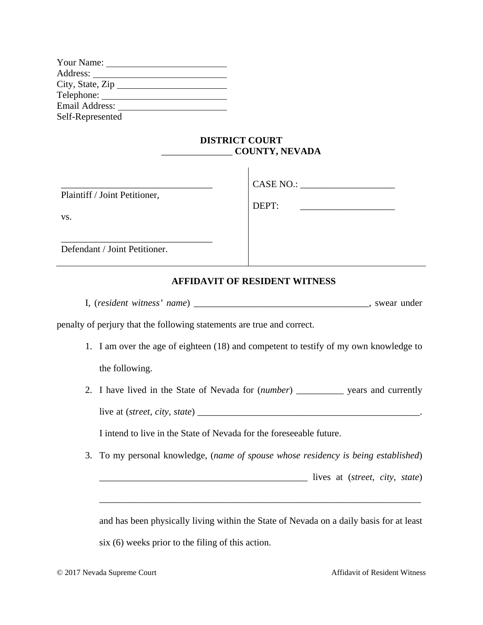| Your Name:                   |
|------------------------------|
| Address:                     |
| City, State, $\rm{Zip}_{\_}$ |
| Telephone:                   |
| Email Address:               |
| Self-Represented             |
|                              |

## **DISTRICT COURT**  \_\_\_\_\_\_\_\_\_\_\_\_\_\_\_ **COUNTY, NEVADA**

| Plaintiff / Joint Petitioner, | CASE NO.: |
|-------------------------------|-----------|
| VS.                           | DEPT:     |
| Defendant / Joint Petitioner. |           |

## **AFFIDAVIT OF RESIDENT WITNESS**

I, (*resident witness' name*) \_\_\_\_\_\_\_\_\_\_\_\_\_\_\_\_\_\_\_\_\_\_\_\_\_\_\_\_\_\_\_\_\_\_\_\_\_, swear under

penalty of perjury that the following statements are true and correct.

- 1. I am over the age of eighteen (18) and competent to testify of my own knowledge to the following.
- 2. I have lived in the State of Nevada for (*number*) \_\_\_\_\_\_\_\_\_\_ years and currently live at (*street, city, state*) \_\_\_\_\_\_\_\_\_\_\_\_\_\_\_\_\_\_\_\_\_\_\_\_\_\_\_\_\_\_\_\_\_\_\_\_\_\_\_\_\_\_\_\_\_\_\_.

I intend to live in the State of Nevada for the foreseeable future.

3. To my personal knowledge, (*name of spouse whose residency is being established*)

\_\_\_\_\_\_\_\_\_\_\_\_\_\_\_\_\_\_\_\_\_\_\_\_\_\_\_\_\_\_\_\_\_\_\_\_\_\_\_\_\_\_\_\_ lives at (*street, city, state*)

and has been physically living within the State of Nevada on a daily basis for at least six (6) weeks prior to the filing of this action.

\_\_\_\_\_\_\_\_\_\_\_\_\_\_\_\_\_\_\_\_\_\_\_\_\_\_\_\_\_\_\_\_\_\_\_\_\_\_\_\_\_\_\_\_\_\_\_\_\_\_\_\_\_\_\_\_\_\_\_\_\_\_\_\_\_\_\_\_